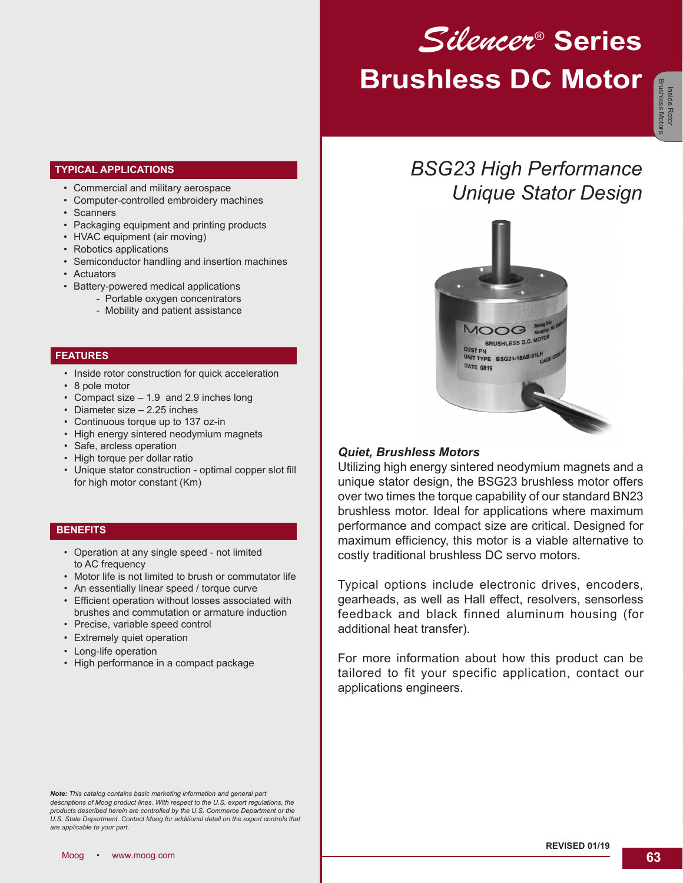# *Silencer*® **Series Brushless DC Motor**

*BSG23 High Performance*

*Unique Stator Design*

### **TYPICAL APPLICATIONS**

- Commercial and military aerospace
- Computer-controlled embroidery machines
- Scanners
- Packaging equipment and printing products
- HVAC equipment (air moving)
- Robotics applications
- Semiconductor handling and insertion machines
- Actuators
- Battery-powered medical applications
	- Portable oxygen concentrators
	- Mobility and patient assistance

### **FEATURES**

- Inside rotor construction for quick acceleration
- 8 pole motor
- Compact size 1.9 and 2.9 inches long
- Diameter size 2.25 inches
- Continuous torque up to 137 oz-in
- High energy sintered neodymium magnets
- Safe, arcless operation
- High torque per dollar ratio
- Unique stator construction optimal copper slot fill for high motor constant (Km)

### **BENEFITS**

- Operation at any single speed not limited to AC frequency
- Motor life is not limited to brush or commutator life
- An essentially linear speed / torque curve
- Efficient operation without losses associated with brushes and commutation or armature induction
- Precise, variable speed control
- Extremely quiet operation
- Long-life operation
- High performance in a compact package

BRUSHLESS D.C. MO Clier<sub>r</sub> UNIT TYPE BSG23-18AB-01LM **DATE 0819** 

### *Quiet, Brushless Motors*

Utilizing high energy sintered neodymium magnets and a unique stator design, the BSG23 brushless motor offers over two times the torque capability of our standard BN23 brushless motor. Ideal for applications where maximum performance and compact size are critical. Designed for maximum efficiency, this motor is a viable alternative to costly traditional brushless DC servo motors.

Typical options include electronic drives, encoders, gearheads, as well as Hall effect, resolvers, sensorless feedback and black finned aluminum housing (for additional heat transfer).

For more information about how this product can be tailored to fit your specific application, contact our applications engineers.

*Note: This catalog contains basic marketing information and general part*  descriptions of Moog product lines. With respect to the U.S. export regulations, the<br>products described herein are controlled by the U.S. Commerce Department or the *U.S. State Department. Contact Moog for additional detail on the export controls that are applicable to your part.*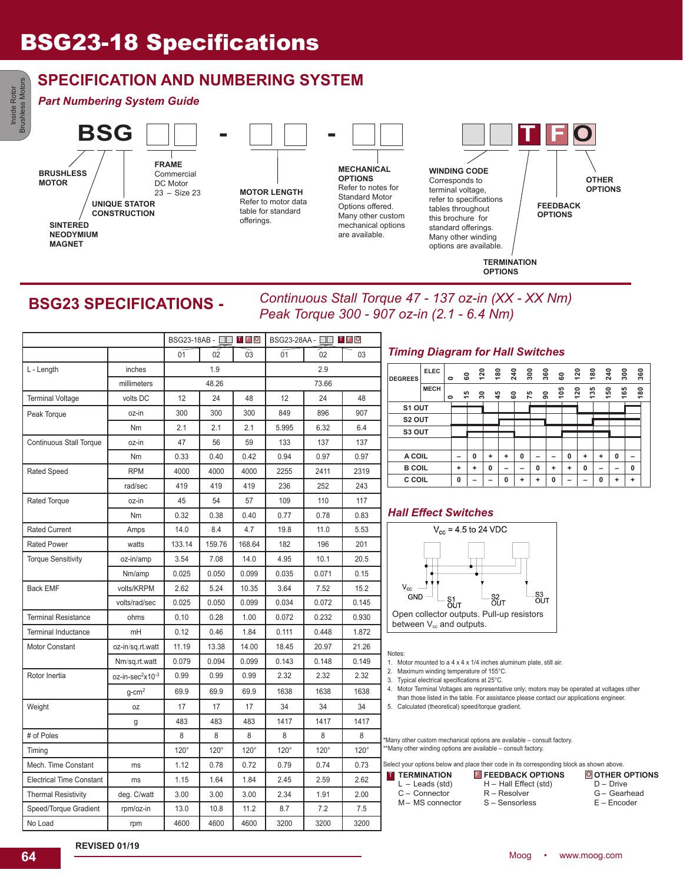### **SPECIFICATION AND NUMBERING SYSTEM**

### *Part Numbering System Guide*

Inside Rotor Brushless Motors

Brushless Motors



### **BSG23 SPECIFICATIONS -**

*Continuous Stall Torque 47 - 137 oz-in (XX - XX Nm) Peak Torque 300 - 907 oz-in (2.1 - 6.4 Nm)*

|                                 |                                          |             | BSG23-18AB - □□ ■ ■ □ |             | BSG23-28AA - □□ <b>Ⅰ F □</b> |             |             |          |  |
|---------------------------------|------------------------------------------|-------------|-----------------------|-------------|------------------------------|-------------|-------------|----------|--|
|                                 |                                          | 01          | 02                    | 03          | 01                           | 02          | 03          | Τ        |  |
| L - Length                      | inches                                   |             | 1.9                   |             |                              | 2.9         |             |          |  |
|                                 | millimeters                              |             | 48.26                 |             |                              | 73.66       |             | DI       |  |
| <b>Terminal Voltage</b>         | volts DC                                 | 12          | 24                    | 48          | 12                           | 24          | 48          |          |  |
| Peak Torque                     | oz-in                                    | 300         | 300                   | 300         | 849                          | 896         | 907         |          |  |
|                                 | Nm                                       | 2.1         | 2.1                   | 2.1         | 5.995                        | 6.32        | 6.4         |          |  |
| <b>Continuous Stall Torque</b>  | oz-in                                    | 47          | 56                    | 59          | 133                          | 137         | 137         |          |  |
|                                 | Nm                                       | 0.33        | 0.40                  | 0.42        | 0.94                         | 0.97        | 0.97        |          |  |
| <b>Rated Speed</b>              | <b>RPM</b>                               | 4000        | 4000                  | 4000        | 2255                         | 2411        | 2319        |          |  |
|                                 | rad/sec                                  | 419         | 419                   | 419         | 236                          | 252         | 243         |          |  |
| Rated Torque                    | oz-in                                    | 45          | 54                    | 57          | 109                          | 110         | 117         |          |  |
|                                 | Nm                                       | 0.32        | 0.38                  | 0.40        | 0.77                         | 0.78        | 0.83        | Н        |  |
| <b>Rated Current</b>            | Amps                                     | 14.0        | 8.4                   | 4.7         | 19.8                         | 11.0        | 5.53        |          |  |
| <b>Rated Power</b>              | watts                                    | 133.14      | 159.76                | 168.64      | 182                          | 196         | 201         |          |  |
| <b>Torque Sensitivity</b>       | oz-in/amp                                | 3.54        | 7.08                  | 14.0        | 4.95                         | 10.1        | 20.5        |          |  |
|                                 | Nm/amp                                   | 0.025       | 0.050                 | 0.099       | 0.035                        | 0.071       | 0.15        |          |  |
| <b>Back EMF</b>                 | volts/KRPM                               | 2.62        | 5.24                  | 10.35       | 3.64                         | 7.52        | 15.2        |          |  |
|                                 | volts/rad/sec                            | 0.025       | 0.050                 | 0.099       | 0.034                        | 0.072       | 0.145       |          |  |
| <b>Terminal Resistance</b>      | ohms                                     | 0.10        | 0.28                  | 1.00        | 0.072                        | 0.232       | 0.930       | ł        |  |
| <b>Terminal Inductance</b>      | mH                                       | 0.12        | 0.46                  | 1.84        | 0.111                        | 0.448       | 1.872       |          |  |
| <b>Motor Constant</b>           | oz-in/sq.rt.watt                         | 11.19       | 13.38                 | 14.00       | 18.45                        | 20.97       | 21.26       |          |  |
|                                 | Nm/sq.rt.watt                            | 0.079       | 0.094                 | 0.099       | 0.143                        | 0.148       | 0.149       | No<br>1. |  |
| Rotor Inertia                   | oz-in-sec <sup>2</sup> x10 <sup>-3</sup> | 0.99        | 0.99                  | 0.99        | 2.32                         | 2.32        | 2.32        | 2.<br>3. |  |
|                                 | $g$ -cm <sup>2</sup>                     | 69.9        | 69.9                  | 69.9        | 1638                         | 1638        | 1638        | 4.       |  |
| Weight                          | 0Z                                       | 17          | 17                    | 17          | 34                           | 34          | 34          | 5.       |  |
|                                 | g                                        | 483         | 483                   | 483         | 1417                         | 1417        | 1417        |          |  |
| # of Poles                      |                                          | 8           | 8                     | 8           | 8                            | 8           | 8           | *Ma      |  |
| Timing                          |                                          | $120^\circ$ | $120^\circ$           | $120^\circ$ | $120^\circ$                  | $120^\circ$ | $120^\circ$ | ™Ma      |  |
| Mech. Time Constant             | ms                                       | 1.12        | 0.78                  | 0.72        | 0.79                         | 0.74        | 0.73        | Sele     |  |
| <b>Electrical Time Constant</b> | ms                                       | 1.15        | 1.64                  | 1.84        | 2.45                         | 2.59        | 2.62        | $\top$   |  |
| <b>Thermal Resistivity</b>      | deg. C/watt                              | 3.00        | 3.00                  | 3.00        | 2.34                         | 1.91        | 2.00        |          |  |
| Speed/Torque Gradient           | rpm/oz-in                                | 13.0        | 10.8                  | 11.2        | 8.7                          | 7.2         | 7.5         |          |  |
| No Load                         | rpm                                      | 4600        | 4600                  | 4600        | 3200                         | 3200        | 3200        |          |  |

### *Timing Diagram for Hall Switches*

| <b>DEGREES</b>     | <b>ELEC</b> | $\bullet$ | 8  | 120 |    | $\frac{5}{2}$ $\frac{5}{2}$ $\frac{5}{2}$ |   |    | 360<br>င္ၿ |   | 180<br>120 |     | 240<br>ន្ល |   | 360 |
|--------------------|-------------|-----------|----|-----|----|-------------------------------------------|---|----|------------|---|------------|-----|------------|---|-----|
|                    | <b>MECH</b> | ۰         | 45 | ន   | 45 | 8                                         |   | 75 | 105<br>ຘ   |   | 135<br>120 | 150 | 89<br>÷    |   | 180 |
| S1 OUT             |             |           |    |     |    |                                           |   |    |            |   |            |     |            |   |     |
| S <sub>2</sub> OUT |             |           |    |     |    |                                           |   |    |            |   |            |     |            |   |     |
| S3 OUT             |             |           |    |     |    |                                           |   |    |            |   |            |     |            |   |     |
|                    |             |           |    |     |    |                                           |   |    |            |   |            |     |            |   |     |
| A COIL             |             |           | -  | 0   | ÷  | ÷                                         | 0 | -  | -          | 0 | ÷          | ÷   | 0          | - |     |
| <b>B COIL</b>      |             |           | ÷  | ÷   | 0  |                                           | - | 0  | ٠          | ÷ | 0          |     |            | 0 |     |
| C COIL             |             |           | 0  |     |    | $\Omega$                                  | ٠ | ÷  | $\Omega$   |   | -          | 0   | ٠          | ÷ |     |
|                    |             |           |    |     |    |                                           |   |    |            |   |            |     |            |   |     |

### **All Effect Switches**



Notes:

- Motor mounted to a  $4 \times 4 \times 1/4$  inches aluminum plate, still air.
- Maximum winding temperature of 155°C.
- Typical electrical specifications at 25°C.
- Motor Terminal Voltages are representative only; motors may be operated at voltages other than those listed in the table. For assistance please contact our applications engineer.
- Calculated (theoretical) speed/torque gradient.

ny other custom mechanical options are available – consult factory. any other winding options are available – consult factory.

ect your options below and place their code in its corresponding block as shown above. **OTHER OPTIONS** D – Drive G – Gearhead E – Encoder **TERMINATION** L – Leads (std) C – Connector M– MS connector T TERMINATION **F** FEEDBACK OPTIONS O H – Hall Effect (std) R – Resolver S – Sensorless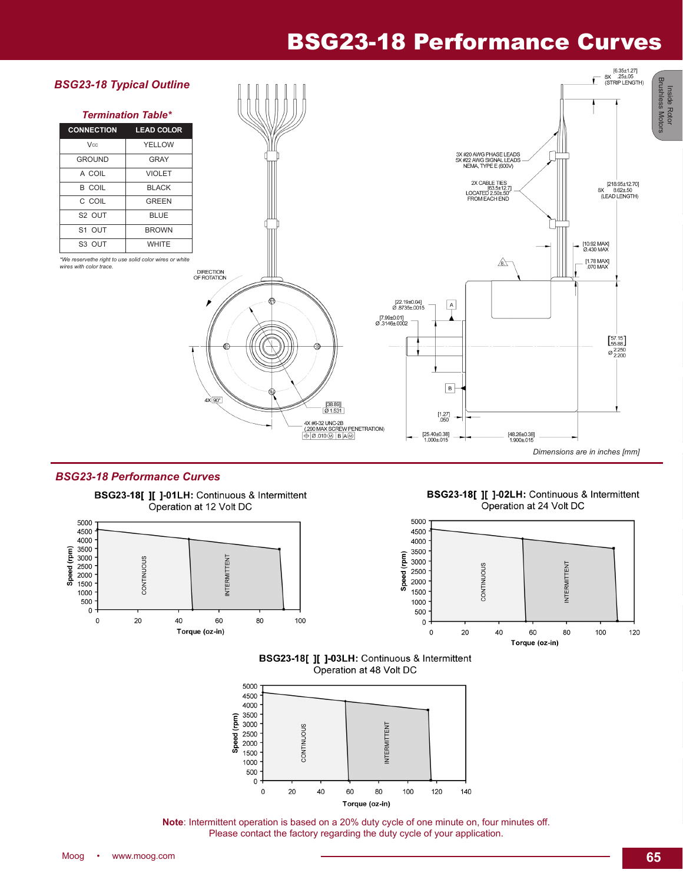### BSG23-18 Performance Curves



#### *BSG23-18 Performance Curves*







BSG23-18[ ][ ]-03LH: Continuous & Intermittent Operation at 48 Volt DC



**Note**: Intermittent operation is based on a 20% duty cycle of one minute on, four minutes off. Please contact the factory regarding the duty cycle of your application.